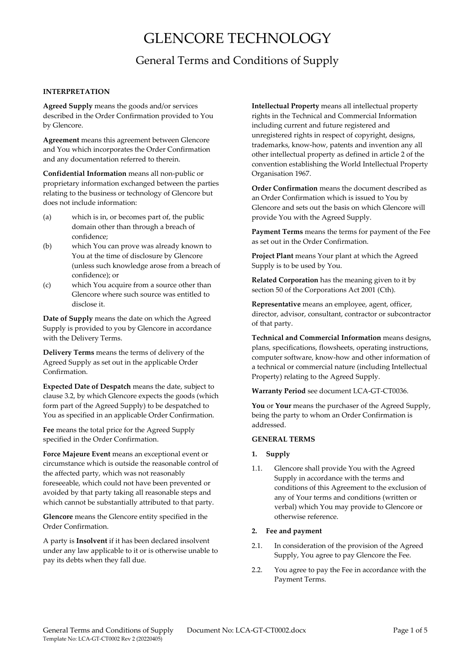# GLENCORE TECHNOLOGY

# General Terms and Conditions of Supply

## **INTERPRETATION**

**Agreed Supply** means the goods and/or services described in the Order Confirmation provided to You by Glencore.

**Agreement** means this agreement between Glencore and You which incorporates the Order Confirmation and any documentation referred to therein.

**Confidential Information** means all non‐public or proprietary information exchanged between the parties relating to the business or technology of Glencore but does not include information:

- (a) which is in, or becomes part of, the public domain other than through a breach of confidence;
- (b) which You can prove was already known to You at the time of disclosure by Glencore (unless such knowledge arose from a breach of confidence); or
- (c) which You acquire from a source other than Glencore where such source was entitled to disclose it.

**Date of Supply** means the date on which the Agreed Supply is provided to you by Glencore in accordance with the Delivery Terms.

**Delivery Terms** means the terms of delivery of the Agreed Supply as set out in the applicable Order Confirmation.

**Expected Date of Despatch** means the date, subject to clause 3.2, by which Glencore expects the goods (which form part of the Agreed Supply) to be despatched to You as specified in an applicable Order Confirmation.

**Fee** means the total price for the Agreed Supply specified in the Order Confirmation.

**Force Majeure Event** means an exceptional event or circumstance which is outside the reasonable control of the affected party, which was not reasonably foreseeable, which could not have been prevented or avoided by that party taking all reasonable steps and which cannot be substantially attributed to that party.

**Glencore** means the Glencore entity specified in the Order Confirmation.

A party is **Insolvent** if it has been declared insolvent under any law applicable to it or is otherwise unable to pay its debts when they fall due.

**Intellectual Property** means all intellectual property rights in the Technical and Commercial Information including current and future registered and unregistered rights in respect of copyright, designs, trademarks, know‐how, patents and invention any all other intellectual property as defined in article 2 of the convention establishing the World Intellectual Property Organisation 1967.

**Order Confirmation** means the document described as an Order Confirmation which is issued to You by Glencore and sets out the basis on which Glencore will provide You with the Agreed Supply.

**Payment Terms** means the terms for payment of the Fee as set out in the Order Confirmation.

**Project Plant** means Your plant at which the Agreed Supply is to be used by You.

**Related Corporation** has the meaning given to it by section 50 of the Corporations Act 2001 (Cth).

**Representative** means an employee, agent, officer, director, advisor, consultant, contractor or subcontractor of that party.

**Technical and Commercial Information** means designs, plans, specifications, flowsheets, operating instructions, computer software, know‐how and other information of a technical or commercial nature (including Intellectual Property) relating to the Agreed Supply.

**Warranty Period** see document LCA‐GT‐CT0036.

**You** or **Your** means the purchaser of the Agreed Supply, being the party to whom an Order Confirmation is addressed.

#### **GENERAL TERMS**

#### **1. Supply**

1.1. Glencore shall provide You with the Agreed Supply in accordance with the terms and conditions of this Agreement to the exclusion of any of Your terms and conditions (written or verbal) which You may provide to Glencore or otherwise reference.

#### **2. Fee and payment**

- 2.1. In consideration of the provision of the Agreed Supply, You agree to pay Glencore the Fee.
- 2.2. You agree to pay the Fee in accordance with the Payment Terms.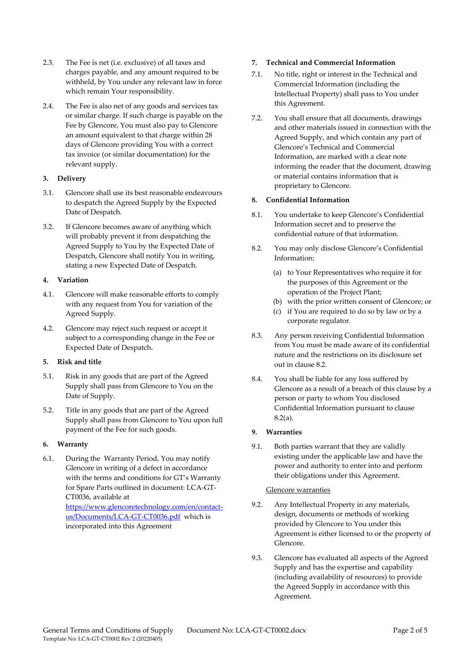- 2.3. The Fee is net (i.e. exclusive) of all taxes and charges payable, and any amount required to be withheld, by You under any relevant law in force which remain Your responsibility.
- 2.4. The Fee is also net of any goods and services tax or similar charge. If such charge is payable on the Fee by Glencore, You must also pay to Glencore an amount equivalent to that charge within 28 days of Glencore providing You with a correct tax invoice (or similar documentation) for the relevant supply.

#### **3. Delivery**

- 3.1. Glencore shall use its best reasonable endeavours to despatch the Agreed Supply by the Expected Date of Despatch.
- 3.2. If Glencore becomes aware of anything which will probably prevent it from despatching the Agreed Supply to You by the Expected Date of Despatch, Glencore shall notify You in writing, stating a new Expected Date of Despatch.

#### **4. Variation**

- 4.1. Glencore will make reasonable efforts to comply with any request from You for variation of the Agreed Supply.
- 4.2. Glencore may reject such request or accept it subject to a corresponding change in the Fee or Expected Date of Despatch.

# **5. Risk and title**

- 5.1. Risk in any goods that are part of the Agreed Supply shall pass from Glencore to You on the Date of Supply.
- 5.2. Title in any goods that are part of the Agreed Supply shall pass from Glencore to You upon full payment of the Fee for such goods.

#### **6. Warranty**

6.1. During the Warranty Period, You may notify Glencore in writing of a defect in accordance with the terms and conditions for GT's Warranty for Spare Parts outlined in document: LCA‐GT‐ CT0036, available at https://www.glencoretechnology.com/en/contact‐ us/Documents/LCA‐GT‐CT0036.pdf which is

incorporated into this Agreement

## **7. Technical and Commercial Information**

- 7.1. No title, right or interest in the Technical and Commercial Information (including the Intellectual Property) shall pass to You under this Agreement.
- 7.2. You shall ensure that all documents, drawings and other materials issued in connection with the Agreed Supply, and which contain any part of Glencore's Technical and Commercial Information, are marked with a clear note informing the reader that the document, drawing or material contains information that is proprietary to Glencore.

# **8. Confidential Information**

- 8.1. You undertake to keep Glencore's Confidential Information secret and to preserve the confidential nature of that information.
- 8.2. You may only disclose Glencore's Confidential Information:
	- (a) to Your Representatives who require it for the purposes of this Agreement or the operation of the Project Plant;
	- (b) with the prior written consent of Glencore; or
	- (c) if You are required to do so by law or by a corporate regulator.
- 8.3. Any person receiving Confidential Information from You must be made aware of its confidential nature and the restrictions on its disclosure set out in clause 8.2.
- 8.4. You shall be liable for any loss suffered by Glencore as a result of a breach of this clause by a person or party to whom You disclosed Confidential Information pursuant to clause 8.2(a).

#### **9. Warranties**

9.1. Both parties warrant that they are validly existing under the applicable law and have the power and authority to enter into and perform their obligations under this Agreement.

#### Glencore warranties

- 9.2. Any Intellectual Property in any materials, design, documents or methods of working provided by Glencore to You under this Agreement is either licensed to or the property of Glencore.
- 9.3. Glencore has evaluated all aspects of the Agreed Supply and has the expertise and capability (including availability of resources) to provide the Agreed Supply in accordance with this Agreement.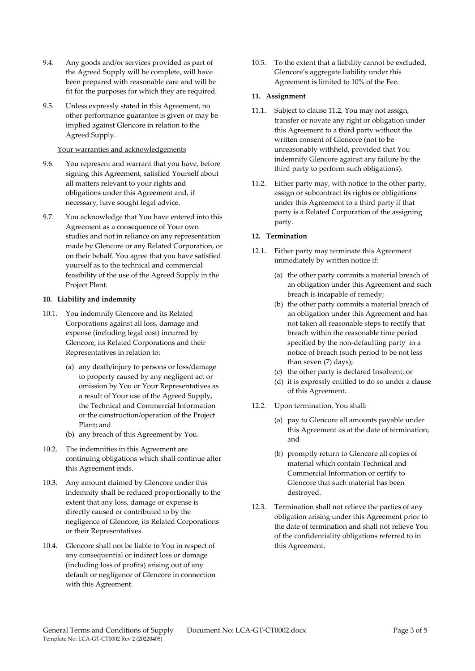- 9.4. Any goods and/or services provided as part of the Agreed Supply will be complete, will have been prepared with reasonable care and will be fit for the purposes for which they are required.
- 9.5. Unless expressly stated in this Agreement, no other performance guarantee is given or may be implied against Glencore in relation to the Agreed Supply.

#### Your warranties and acknowledgements

- 9.6. You represent and warrant that you have, before signing this Agreement, satisfied Yourself about all matters relevant to your rights and obligations under this Agreement and, if necessary, have sought legal advice.
- 9.7. You acknowledge that You have entered into this Agreement as a consequence of Your own studies and not in reliance on any representation made by Glencore or any Related Corporation, or on their behalf. You agree that you have satisfied yourself as to the technical and commercial feasibility of the use of the Agreed Supply in the Project Plant.

#### **10. Liability and indemnity**

- 10.1. You indemnify Glencore and its Related Corporations against all loss, damage and expense (including legal cost) incurred by Glencore, its Related Corporations and their Representatives in relation to:
	- (a) any death/injury to persons or loss/damage to property caused by any negligent act or omission by You or Your Representatives as a result of Your use of the Agreed Supply, the Technical and Commercial Information or the construction/operation of the Project Plant; and
	- (b) any breach of this Agreement by You.
- 10.2. The indemnities in this Agreement are continuing obligations which shall continue after this Agreement ends.
- 10.3. Any amount claimed by Glencore under this indemnity shall be reduced proportionally to the extent that any loss, damage or expense is directly caused or contributed to by the negligence of Glencore, its Related Corporations or their Representatives.
- 10.4. Glencore shall not be liable to You in respect of any consequential or indirect loss or damage (including loss of profits) arising out of any default or negligence of Glencore in connection with this Agreement.

10.5. To the extent that a liability cannot be excluded, Glencore's aggregate liability under this Agreement is limited to 10% of the Fee.

#### **11. Assignment**

- 11.1. Subject to clause 11.2, You may not assign, transfer or novate any right or obligation under this Agreement to a third party without the written consent of Glencore (not to be unreasonably withheld, provided that You indemnify Glencore against any failure by the third party to perform such obligations).
- 11.2. Either party may, with notice to the other party, assign or subcontract its rights or obligations under this Agreement to a third party if that party is a Related Corporation of the assigning party.

#### **12. Termination**

- 12.1. Either party may terminate this Agreement immediately by written notice if:
	- (a) the other party commits a material breach of an obligation under this Agreement and such breach is incapable of remedy;
	- (b) the other party commits a material breach of an obligation under this Agreement and has not taken all reasonable steps to rectify that breach within the reasonable time period specified by the non-defaulting party in a notice of breach (such period to be not less than seven (7) days);
	- (c) the other party is declared Insolvent; or
	- (d) it is expressly entitled to do so under a clause of this Agreement.
- 12.2. Upon termination, You shall:
	- (a) pay to Glencore all amounts payable under this Agreement as at the date of termination; and
	- (b) promptly return to Glencore all copies of material which contain Technical and Commercial Information or certify to Glencore that such material has been destroyed.
- 12.3. Termination shall not relieve the parties of any obligation arising under this Agreement prior to the date of termination and shall not relieve You of the confidentiality obligations referred to in this Agreement.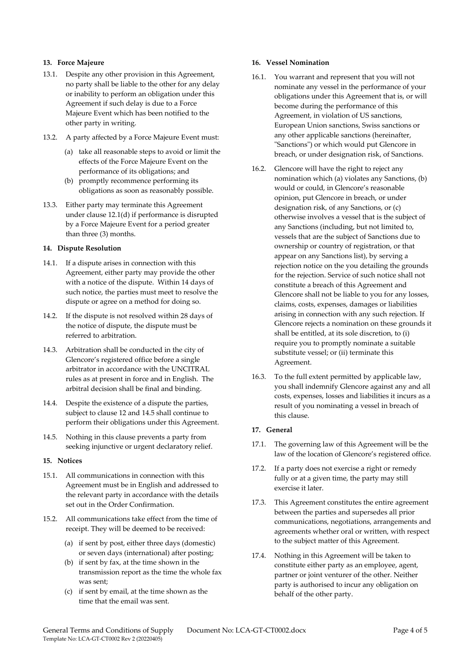### **13. Force Majeure**

- 13.1. Despite any other provision in this Agreement, no party shall be liable to the other for any delay or inability to perform an obligation under this Agreement if such delay is due to a Force Majeure Event which has been notified to the other party in writing.
- 13.2. A party affected by a Force Majeure Event must:
	- (a) take all reasonable steps to avoid or limit the effects of the Force Majeure Event on the performance of its obligations; and
	- (b) promptly recommence performing its obligations as soon as reasonably possible.
- 13.3. Either party may terminate this Agreement under clause 12.1(d) if performance is disrupted by a Force Majeure Event for a period greater than three (3) months.

#### **14. Dispute Resolution**

- 14.1. If a dispute arises in connection with this Agreement, either party may provide the other with a notice of the dispute. Within 14 days of such notice, the parties must meet to resolve the dispute or agree on a method for doing so.
- 14.2. If the dispute is not resolved within 28 days of the notice of dispute, the dispute must be referred to arbitration.
- 14.3. Arbitration shall be conducted in the city of Glencore's registered office before a single arbitrator in accordance with the UNCITRAL rules as at present in force and in English. The arbitral decision shall be final and binding.
- 14.4. Despite the existence of a dispute the parties, subject to clause 12 and 14.5 shall continue to perform their obligations under this Agreement.
- 14.5. Nothing in this clause prevents a party from seeking injunctive or urgent declaratory relief.

#### **15. Notices**

- 15.1. All communications in connection with this Agreement must be in English and addressed to the relevant party in accordance with the details set out in the Order Confirmation.
- 15.2. All communications take effect from the time of receipt. They will be deemed to be received:
	- (a) if sent by post, either three days (domestic) or seven days (international) after posting;
	- (b) if sent by fax, at the time shown in the transmission report as the time the whole fax was sent;
	- (c) if sent by email, at the time shown as the time that the email was sent.

# **16. Vessel Nomination**

- 16.1. You warrant and represent that you will not nominate any vessel in the performance of your obligations under this Agreement that is, or will become during the performance of this Agreement, in violation of US sanctions, European Union sanctions, Swiss sanctions or any other applicable sanctions (hereinafter, ʺSanctionsʺ) or which would put Glencore in breach, or under designation risk, of Sanctions.
- 16.2. Glencore will have the right to reject any nomination which (a) violates any Sanctions, (b) would or could, in Glencore's reasonable opinion, put Glencore in breach, or under designation risk, of any Sanctions, or (c) otherwise involves a vessel that is the subject of any Sanctions (including, but not limited to, vessels that are the subject of Sanctions due to ownership or country of registration, or that appear on any Sanctions list), by serving a rejection notice on the you detailing the grounds for the rejection. Service of such notice shall not constitute a breach of this Agreement and Glencore shall not be liable to you for any losses, claims, costs, expenses, damages or liabilities arising in connection with any such rejection. If Glencore rejects a nomination on these grounds it shall be entitled, at its sole discretion, to (i) require you to promptly nominate a suitable substitute vessel; or (ii) terminate this Agreement.
- 16.3. To the full extent permitted by applicable law, you shall indemnify Glencore against any and all costs, expenses, losses and liabilities it incurs as a result of you nominating a vessel in breach of this clause.

#### **17. General**

- 17.1. The governing law of this Agreement will be the law of the location of Glencore's registered office.
- 17.2. If a party does not exercise a right or remedy fully or at a given time, the party may still exercise it later.
- 17.3. This Agreement constitutes the entire agreement between the parties and supersedes all prior communications, negotiations, arrangements and agreements whether oral or written, with respect to the subject matter of this Agreement.
- 17.4. Nothing in this Agreement will be taken to constitute either party as an employee, agent, partner or joint venturer of the other. Neither party is authorised to incur any obligation on behalf of the other party.